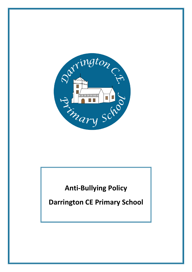

# **Anti-Bullying Policy**

**Darrington CE Primary School**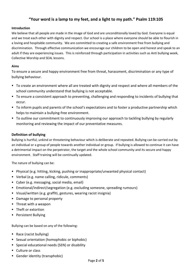# **"Your word is a lamp to my feet, and a light to my path." Psalm 119:105**

#### **Introduction**

We believe that all people are made in the image of God and are unconditionally loved by God. Everyone is equal and we treat each other with dignity and respect. Our school is a place where everyone should be able to flourish in a loving and hospitable community. We are committed to creating a safe environment free from bullying and discrimination. Through effective communication we encourage our children to be open and honest and speak to an adult if they are experiencing issues. This is reinforced through participation in activities such as Anti bullying week, Collective Worship and SEAL lessons.

#### **Aims**

To ensure a secure and happy environment free from threat, harassment, discrimination or any type of bullying behaviour.

- To create an environment where all are treated with dignity and respect and where all members of the school community understand that bullying is not acceptable.
- To ensure a consistent approach to preventing, challenging and responding to incidents of bullying that occur.
- To inform pupils and parents of the school's expectations and to foster a productive partnership which helps to maintain a bullying-free environment.
- To outline our commitment to continuously improving our approach to tackling bullying by regularly monitoring and reviewing the impact of our preventative measures.

#### **Definition of bullying**

Bullying is hurtful, unkind or threatening behaviour which is deliberate and repeated. Bullying can be carried out by an individual or a group of people towards another individual or group. If bullying is allowed to continue it can have a detrimental impact on the perpetrator, the target and the whole school community and its secure and happy environment. Staff training will be continually updated.

The nature of bullying can be:

- Physical (e.g. hitting, kicking, pushing or inappropriate/unwanted physical contact)
- Verbal (e.g. name calling, ridicule, comments)
- Cyber (e.g. messaging, social media, email)
- Emotional/indirect/segregation (e.g. excluding someone, spreading rumours)
- Visual/written (e.g. graffiti, gestures, wearing racist insignia)
- Damage to personal property
- Threat with a weapon
- Theft or extortion
- Persistent Bullying

Bullying can be based on any of the following:

- Race (racist bullying)
- Sexual orientation (homophobic or biphobic)
- Special educational needs (SEN) or disability
- Culture or class
- Gender identity (transphobic)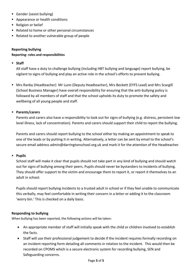- Gender (sexist bullying)
- Appearance or health conditions
- Religion or belief
- Related to home or other personal circumstances
- Related to another vulnerable group of people

### **Reporting bullying**

#### **Reporting- roles and responsibilities**

## **Staff**

All staff have a duty to challenge bullying (including HBT bullying and language) report bullying, be vigilant to signs of bullying and play an active role in the school's efforts to prevent bullying.

 Mrs Ranby (Headteacher) Mr Lunn (Deputy Headteacher), Mrs Beckett (EYFS Lead) and Mrs Scargill (School Business Manager) have overall responsibility for ensuring that the anti-bullying policy is followed by all members of staff and that the school upholds its duty to promote the safety and wellbeing of all young people and staff.

## **Parents/carers**

Parents and carers also have a responsibility to look out for signs of bullying (e.g. distress, persistent low level illness, lack of concentration). Parents and carers should support their child to report the bullying.

Parents and carers should report bullying to the school either by making an appointment to speak to one of the leads or by putting it in writing. Alternatively, a letter can be sent by email to the school's secure email address [admin@darringtonschool.org.uk](mailto:admin@darringtonschool.org.uk) and mark it for the attention of the Headteacher.

## **Pupils**

School staff will make it clear that pupils should not take part in any kind of bullying and should watch out for signs of bullying among their peers. Pupils should never be bystanders to incidents of bullying. They should offer support to the victim and encourage them to report it, or report it themselves to an adult in school.

Pupils should report bullying incidents to a trusted adult in school or if they feel unable to communicate this verbally, may feel comfortable in writing their concern in a letter or adding it to the classroom 'worry bin.' This is checked on a daily basis.

## **Responding to bullying**

When bullying has been reported, the following actions will be taken:

- An appropriate member of staff will initially speak with the child or children involved to establish the facts.
- Staff will use their professional judgement to decide if the incident requires formally recording on an incident reporting form detailing all comments in relation to the incident. This would then be recorded on CPOMS which is a secure electronic system for recording bullying, SEN and Safeguarding concerns.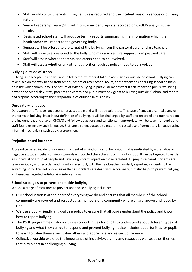- Staff would contact parents if they felt this is required and the incident was of a serious or bullying nature.
- Senior Leadership Team (SLT) will monitor incident reports recorded on CPOMS analysing the results.
- Designated school staff will produce termly reports summarising the information which the headteacher will report to the governing body.
- Support will be offered to the target of the bullying from the pastoral care, or class teacher.
- Staff will proactively respond to the bully who may also require support from pastoral care.
- Staff will assess whether parents and carers need to be involved.
- Staff will assess whether any other authorities (such as police) need to be involved.

# **Bullying outside of school**

Bullying is unacceptable and will not be tolerated, whether it takes place inside or outside of school. Bullying can take place on the way to and from school, before or after school hours, at the weekends or during school holidays, or in the wider community. The nature of cyber bullying in particular means that it can impact on pupils' wellbeing beyond the school day. Staff, parents and carers, and pupils must be vigilant to bullying outside if school and report and respond according to their responsibilities outlined in this policy.

# **Derogatory language**

Derogatory or offensive language is not acceptable and will not be tolerated. This type of language can take any of the forms of bullying listed in our definition of bullying. It will be challenged by staff and recorded and monitored on the incident log, and also on CPOMS and follow up actions and sanctions, if appropriate, will be taken for pupils and staff found using any such language. Staff are also encouraged to record the casual use of derogatory language using informal mechanisms such as a classroom log.

# **Prejudice based incidents**

A prejudice based incident is a one-off incident of unkind or hurtful behaviour that is motivated by a prejudice or negative attitudes, beliefs or views towards a protected characteristic or minority group. It can be targeted towards an individual or group of people and have a significant impact on those targeted. All prejudice based incidents are taken seriously and recorded and monitors in school, with the headteacher regularly reporting incidents to the governing body. This not only ensures that all incidents are dealt with accordingly, but also helps to prevent bullying as it enables targeted anti-bullying interventions.

# **School strategies to prevent and tackle bullying**

We use a range of measures to prevent and tackle bullying including:

- Our school vision is at the heart of everything we do and ensures that all members of the school community are revered and respected as members of a community where all are known and loved by God.
- We use a pupil-friendly anti-bullying policy to ensure that all pupils understand the policy and know how to report bullying.
- The PSHE programme of study includes opportunities for pupils to understand about different types of bullying and what they can do to respond and prevent bullying. It also includes opportunities for pupils to learn to value themselves, value others and appreciate and respect difference.
- Collective worship explores the importance of inclusivity, dignity and respect as well as other themes that play a part in challenging bullying.